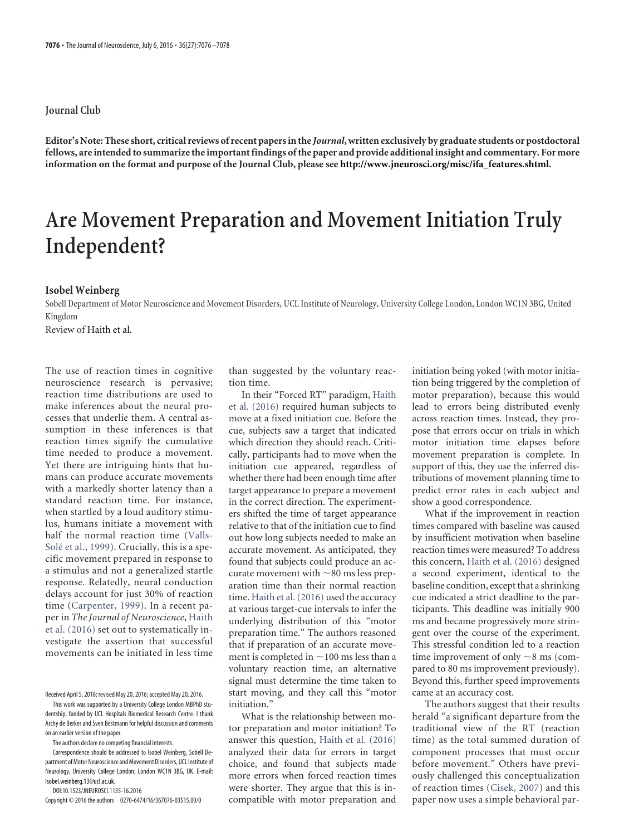## **Journal Club**

**Editor's Note: These short, critical reviews of recent papers in the** *Journal***, written exclusively by graduate students or postdoctoral fellows, are intended to summarize the important findings of the paper and provide additional insight and commentary. For more information on the format and purpose of the Journal Club, please see http://www.jneurosci.org/misc/ifa\_features.shtml.**

# **Are Movement Preparation and Movement Initiation Truly Independent?**

## **Isobel Weinberg**

Sobell Department of Motor Neuroscience and Movement Disorders, UCL Institute of Neurology, University College London, London WC1N 3BG, United Kingdom

Review of Haith et al.

The use of reaction times in cognitive neuroscience research is pervasive; reaction time distributions are used to make inferences about the neural processes that underlie them. A central assumption in these inferences is that reaction times signify the cumulative time needed to produce a movement. Yet there are intriguing hints that humans can produce accurate movements with a markedly shorter latency than a standard reaction time. For instance, when startled by a loud auditory stimulus, humans initiate a movement with half the normal reaction time [\(Valls-](#page-2-0)Solé et al., 1999). Crucially, this is a specific movement prepared in response to a stimulus and not a generalized startle response. Relatedly, neural conduction delays account for just 30% of reaction time [\(Carpenter, 1999\)](#page-2-1). In a recent paper in *The Journal of Neuroscience*, [Haith](#page-2-2) [et al. \(2016\)](#page-2-2) set out to systematically investigate the assertion that successful movements can be initiated in less time

Received April 5, 2016; revised May 20, 2016; accepted May 20, 2016.

This work was supported by a University College London MBPhD studentship, funded by UCL Hospitals Biomedical Research Centre. I thank Archy de Berker and Sven Bestmann for helpful discussion and comments on an earlier version of the paper.

The authors declare no competing financial interests.

Correspondence should be addressed to Isobel Weinberg, Sobell Department of Motor Neuroscience and Movement Disorders, UCL Institute of Neurology, University College London, London WC1N 3BG, UK. E-mail: Isobel.weinberg.13@ucl.ac.uk.

DOI:10.1523/JNEUROSCI.1135-16.2016

Copyright © 2016 the authors 0270-6474/16/367076-03\$15.00/0

than suggested by the voluntary reaction time.

In their "Forced RT" paradigm, [Haith](#page-2-2) [et al. \(2016\)](#page-2-2) required human subjects to move at a fixed initiation cue. Before the cue, subjects saw a target that indicated which direction they should reach. Critically, participants had to move when the initiation cue appeared, regardless of whether there had been enough time after target appearance to prepare a movement in the correct direction. The experimenters shifted the time of target appearance relative to that of the initiation cue to find out how long subjects needed to make an accurate movement. As anticipated, they found that subjects could produce an accurate movement with  $\sim$ 80 ms less preparation time than their normal reaction time. [Haith et al. \(2016\)](#page-2-2) used the accuracy at various target-cue intervals to infer the underlying distribution of this "motor preparation time." The authors reasoned that if preparation of an accurate movement is completed in  $\sim$  100 ms less than a voluntary reaction time, an alternative signal must determine the time taken to start moving, and they call this "motor initiation."

What is the relationship between motor preparation and motor initiation? To answer this question, [Haith et al. \(2016\)](#page-2-2) analyzed their data for errors in target choice, and found that subjects made more errors when forced reaction times were shorter. They argue that this is incompatible with motor preparation and initiation being yoked (with motor initiation being triggered by the completion of motor preparation), because this would lead to errors being distributed evenly across reaction times. Instead, they propose that errors occur on trials in which motor initiation time elapses before movement preparation is complete. In support of this, they use the inferred distributions of movement planning time to predict error rates in each subject and show a good correspondence.

What if the improvement in reaction times compared with baseline was caused by insufficient motivation when baseline reaction times were measured? To address this concern, [Haith et al. \(2016\)](#page-2-2) designed a second experiment, identical to the baseline condition, except that a shrinking cue indicated a strict deadline to the participants. This deadline was initially 900 ms and became progressively more stringent over the course of the experiment. This stressful condition led to a reaction time improvement of only  $\sim$ 8 ms (compared to 80 ms improvement previously). Beyond this, further speed improvements came at an accuracy cost.

The authors suggest that their results herald "a significant departure from the traditional view of the RT (reaction time) as the total summed duration of component processes that must occur before movement." Others have previously challenged this conceptualization of reaction times [\(Cisek, 2007\)](#page-2-3) and this paper now uses a simple behavioral par-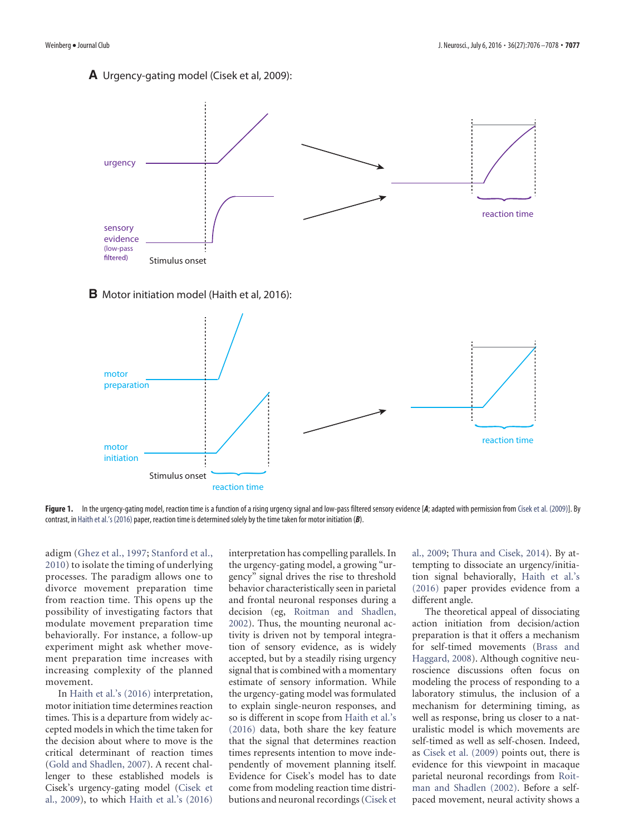## **A** Urgency-gating model (Cisek et al, 2009):



### **B** Motor initiation model (Haith et al, 2016):



<span id="page-1-0"></span>Figure 1. In the urgency-gating model, reaction time is a function of a rising urgency signal and low-pass filtered sensory evidence [*A*; adapted with permission from [Cisek et al. \(2009\)\]](#page-2-7). By contrast, in [Haith et al.'s \(2016\)](#page-2-2) paper, reaction time is determined solely by the time taken for motor initiation (B).

adigm [\(Ghez et al., 1997;](#page-2-4) [Stanford et al.,](#page-2-5) [2010\)](#page-2-5) to isolate the timing of underlying processes. The paradigm allows one to divorce movement preparation time from reaction time. This opens up the possibility of investigating factors that modulate movement preparation time behaviorally. For instance, a follow-up experiment might ask whether movement preparation time increases with increasing complexity of the planned movement.

In [Haith et al.'s \(2016\)](#page-2-2) interpretation, motor initiation time determines reaction times. This is a departure from widely accepted models in which the time taken for the decision about where to move is the critical determinant of reaction times [\(Gold and Shadlen, 2007\)](#page-2-6). A recent challenger to these established models is Cisek's urgency-gating model [\(Cisek et](#page-2-7) [al., 2009\)](#page-2-7), to which [Haith et al.'s \(2016\)](#page-2-2)

interpretation has compelling parallels. In the urgency-gating model, a growing "urgency" signal drives the rise to threshold behavior characteristically seen in parietal and frontal neuronal responses during a decision (eg, [Roitman and Shadlen,](#page-2-8) [2002\)](#page-2-8). Thus, the mounting neuronal activity is driven not by temporal integration of sensory evidence, as is widely accepted, but by a steadily rising urgency signal that is combined with a momentary estimate of sensory information. While the urgency-gating model was formulated to explain single-neuron responses, and so is different in scope from [Haith et al.'s](#page-2-2) [\(2016\)](#page-2-2) data, both share the key feature that the signal that determines reaction times represents intention to move independently of movement planning itself. Evidence for Cisek's model has to date come from modeling reaction time distributions and neuronal recordings [\(Cisek et](#page-2-7) [al., 2009;](#page-2-7) [Thura and Cisek, 2014\)](#page-2-9). By attempting to dissociate an urgency/initiation signal behaviorally, [Haith et al.'s](#page-2-2) [\(2016\)](#page-2-2) paper provides evidence from a different angle.

The theoretical appeal of dissociating action initiation from decision/action preparation is that it offers a mechanism for self-timed movements [\(Brass and](#page-2-10) [Haggard, 2008\)](#page-2-10). Although cognitive neuroscience discussions often focus on modeling the process of responding to a laboratory stimulus, the inclusion of a mechanism for determining timing, as well as response, bring us closer to a naturalistic model is which movements are self-timed as well as self-chosen. Indeed, as [Cisek et al. \(2009\)](#page-2-7) points out, there is evidence for this viewpoint in macaque parietal neuronal recordings from [Roit](#page-2-8)[man and Shadlen \(2002\).](#page-2-8) Before a selfpaced movement, neural activity shows a